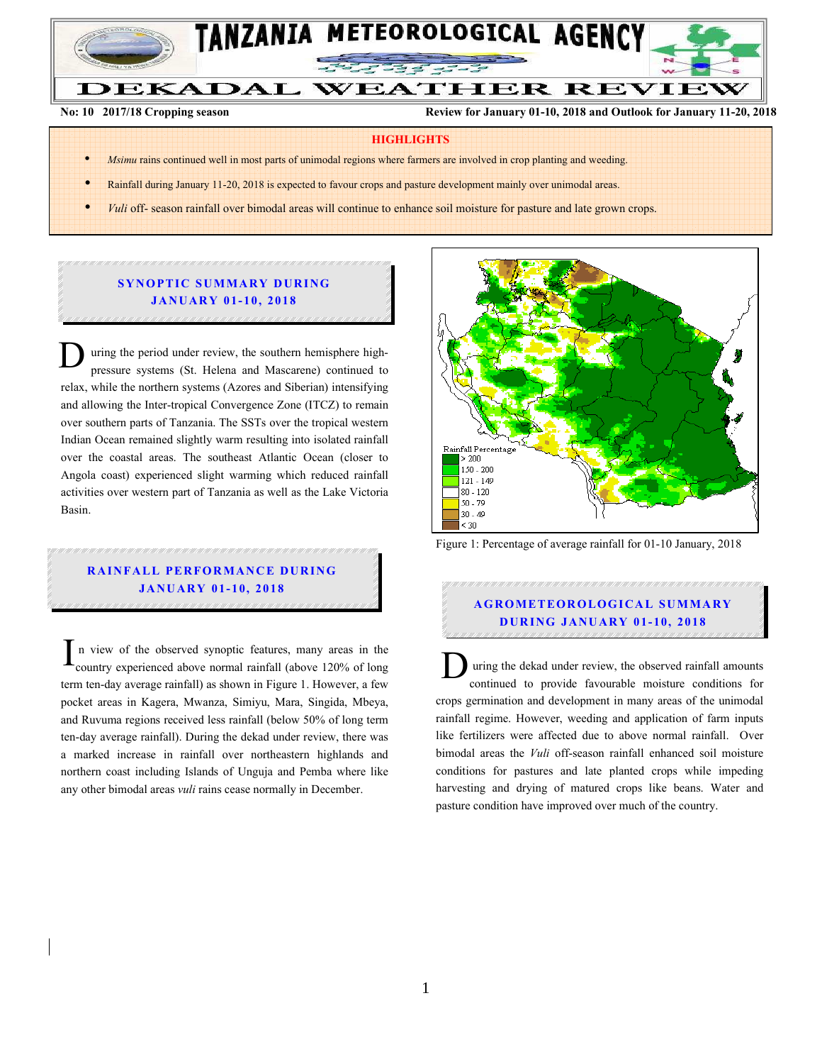

**No: 10 2017/18 Cropping season Review for January 01-10, 2018 and Outlook for January 11-20, 2018**

### **HIGHLIGHTS**

- *Msimu* rains continued well in most parts of unimodal regions where farmers are involved in crop planting and weeding.
- Rainfall during January 11-20, 2018 is expected to favour crops and pasture development mainly over unimodal areas.
- *Vuli* off- season rainfall over bimodal areas will continue to enhance soil moisture for pasture and late grown crops.

# **SYNOPTIC SUMMARY DURING JA NU AR Y 01- 10, 2018**

uring the period under review, the southern hemisphere highpressure systems (St. Helena and Mascarene) continued to relax, while the northern systems (Azores and Siberian) intensifying and allowing the Inter-tropical Convergence Zone (ITCZ) to remain over southern parts of Tanzania. The SSTs over the tropical western Indian Ocean remained slightly warm resulting into isolated rainfall over the coastal areas. The southeast Atlantic Ocean (closer to Angola coast) experienced slight warming which reduced rainfall activities over western part of Tanzania as well as the Lake Victoria Basin. D

# **RAINFALL PERFORMANCE DURING JA NU AR Y 01- 10, 2018**

n view of the observed synoptic features, many areas in the country experienced above normal rainfall (above 120% of long term ten-day average rainfall) as shown in Figure 1. However, a few pocket areas in Kagera, Mwanza, Simiyu, Mara, Singida, Mbeya, and Ruvuma regions received less rainfall (below 50% of long term ten-day average rainfall). During the dekad under review, there was a marked increase in rainfall over northeastern highlands and northern coast including Islands of Unguja and Pemba where like any other bimodal areas *vuli* rains cease normally in December.  $\Gamma$  and view of the observed synoptic features, many areas in the country experienced above normal rainfall (above 120% of long lemm ten-day average rainfall) as shown in Figure 1. However, a few



Figure 1: Percentage of average rainfall for 01-10 January, 2018

# **A G RO M ETEO R O LOG ICA L SU M MA RY D UR ING JANU AR Y 01- 10, 2018**

uring the dekad under review, the observed rainfall amounts continued to provide favourable moisture conditions for crops germination and development in many areas of the unimodal rainfall regime. However, weeding and application of farm inputs like fertilizers were affected due to above normal rainfall. Over bimodal areas the *Vuli* off-season rainfall enhanced soil moisture conditions for pastures and late planted crops while impeding harvesting and drying of matured crops like beans. Water and pasture condition have improved over much of the country.